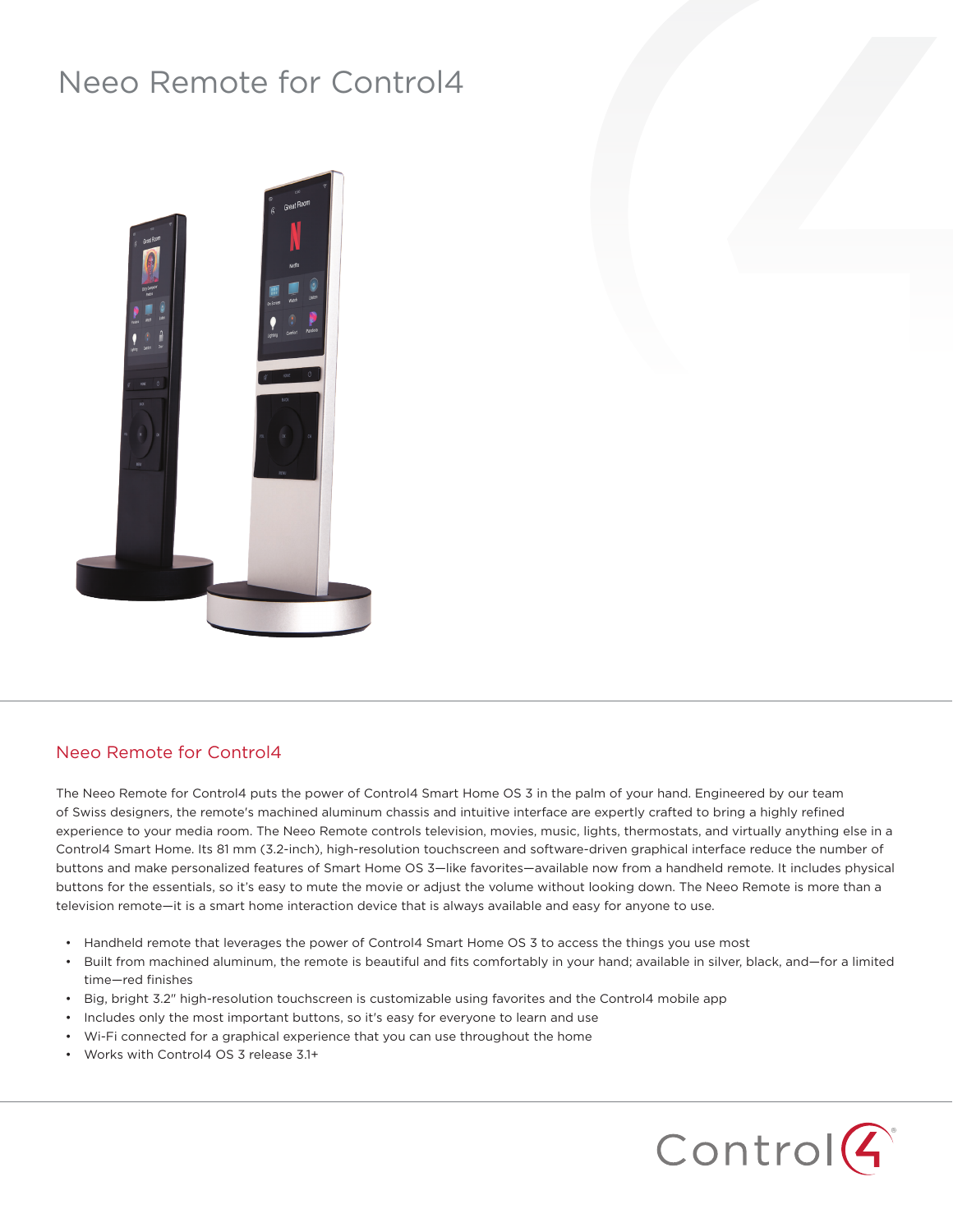## Neeo Remote for Control4



## Neeo Remote for Control4

The Neeo Remote for Control4 puts the power of Control4 Smart Home OS 3 in the palm of your hand. Engineered by our team of Swiss designers, the remote's machined aluminum chassis and intuitive interface are expertly crafted to bring a highly refined experience to your media room. The Neeo Remote controls television, movies, music, lights, thermostats, and virtually anything else in a Control4 Smart Home. Its 81 mm (3.2-inch), high-resolution touchscreen and software-driven graphical interface reduce the number of buttons and make personalized features of Smart Home OS 3—like favorites—available now from a handheld remote. It includes physical buttons for the essentials, so it's easy to mute the movie or adjust the volume without looking down. The Neeo Remote is more than a television remote—it is a smart home interaction device that is always available and easy for anyone to use.

- Handheld remote that leverages the power of Control4 Smart Home OS 3 to access the things you use most
- Built from machined aluminum, the remote is beautiful and fits comfortably in your hand; available in silver, black, and—for a limited time—red finishes
- Big, bright 3.2" high-resolution touchscreen is customizable using favorites and the Control4 mobile app
- Includes only the most important buttons, so it's easy for everyone to learn and use
- Wi-Fi connected for a graphical experience that you can use throughout the home
- Works with Control4 OS 3 release 3.1+

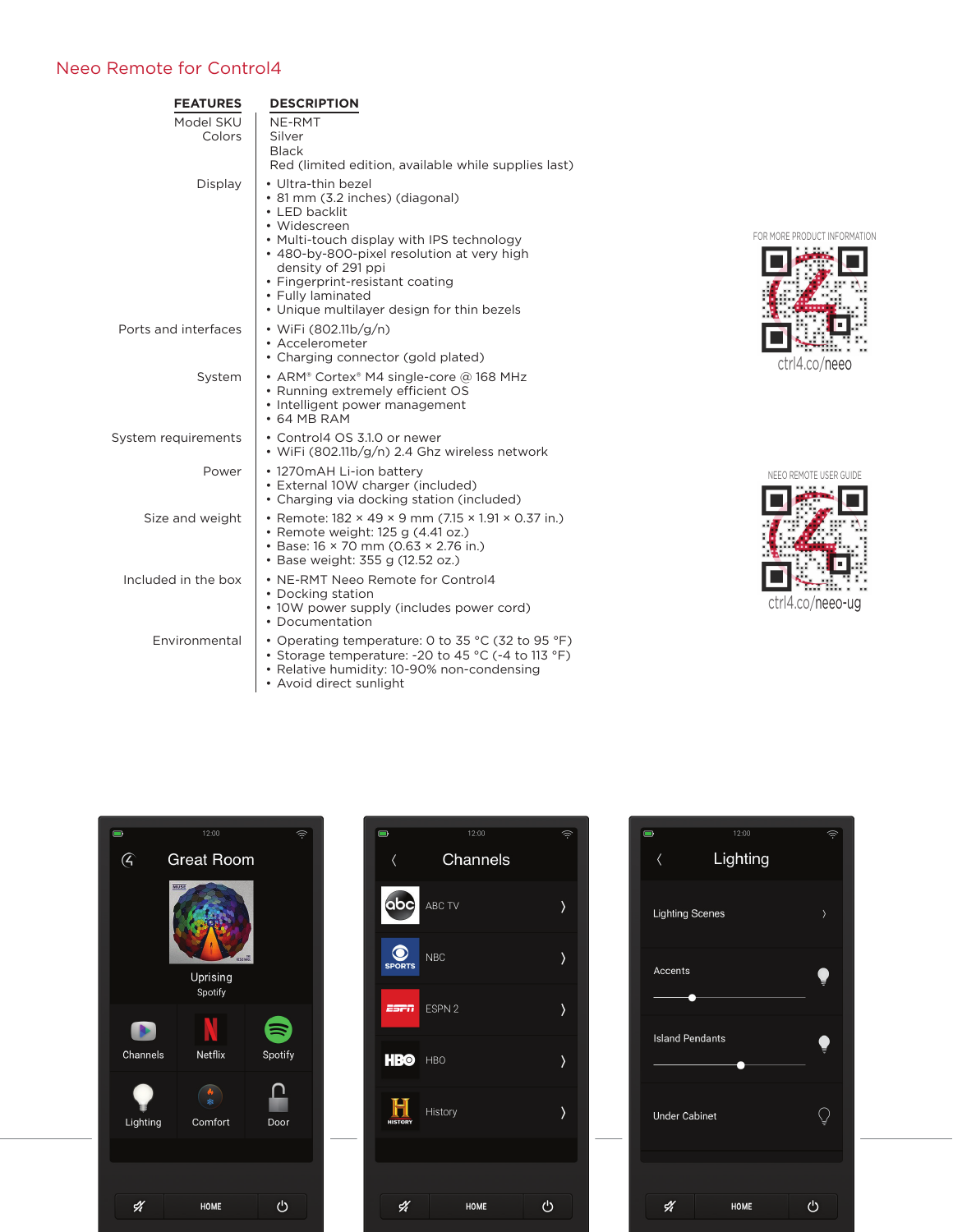## Neeo Remote for Control4

| <b>FEATURES</b>      | <b>DESCRIPTION</b>                                                                                                                                                                                                                                                                                            |
|----------------------|---------------------------------------------------------------------------------------------------------------------------------------------------------------------------------------------------------------------------------------------------------------------------------------------------------------|
| Model SKU<br>Colors  | NE-RMT<br>Silver<br><b>Black</b><br>Red (limited edition, available while supplies last)                                                                                                                                                                                                                      |
| Display              | • Ultra-thin bezel<br>• 81 mm (3.2 inches) (diagonal)<br>• LED backlit<br>• Widescreen<br>• Multi-touch display with IPS technology<br>• 480-by-800-pixel resolution at very high<br>density of 291 ppi<br>• Fingerprint-resistant coating<br>• Fully laminated<br>• Unique multilayer design for thin bezels |
| Ports and interfaces | • WiFi (802.11b/g/n)<br>• Accelerometer<br>• Charging connector (gold plated)                                                                                                                                                                                                                                 |
| System               | • ARM® Cortex® M4 single-core @ 168 MHz<br>• Running extremely efficient OS<br>• Intelligent power management<br>$\cdot$ 64 MB RAM                                                                                                                                                                            |
| System requirements  | • Control4 OS 3.1.0 or newer<br>• WiFi (802.11b/g/n) 2.4 Ghz wireless network                                                                                                                                                                                                                                 |
| Power                | • 1270 mAH Li-ion battery<br>• External 10W charger (included)<br>• Charging via docking station (included)                                                                                                                                                                                                   |
| Size and weight      | • Remote: 182 × 49 × 9 mm (7.15 × 1.91 × 0.37 in.)<br>• Remote weight: 125 g (4.41 oz.)<br>• Base: 16 × 70 mm (0.63 × 2.76 in.)<br>• Base weight: 355 g (12.52 oz.)                                                                                                                                           |
| Included in the box  | • NE-RMT Neeo Remote for Control4<br>• Docking station<br>• 10W power supply (includes power cord)<br>• Documentation                                                                                                                                                                                         |
| Environmental        | • Operating temperature: 0 to 35 °C (32 to 95 °F)<br>• Storage temperature: -20 to 45 °C (-4 to 113 °F)<br>• Relative humidity: 10-90% non-condensing<br>• Avoid direct sunlight                                                                                                                              |



NEEO REMOTE USER GUIDE **Taribu** ctrl4.co/neeo-ug



| $\Box$         | 12:00       | Ŵ.        |
|----------------|-------------|-----------|
|                | Channels    |           |
| abc            | ABC TV      | ⟩         |
| <b>SPORTS</b>  | NBC         | $\rangle$ |
| <b>25FN</b>    | ESPN 2      | ١         |
| HBO HBO        |             | ١         |
| <b>HISTORY</b> | History     | ١         |
|                |             |           |
| 4              | <b>HOME</b> | ტ         |